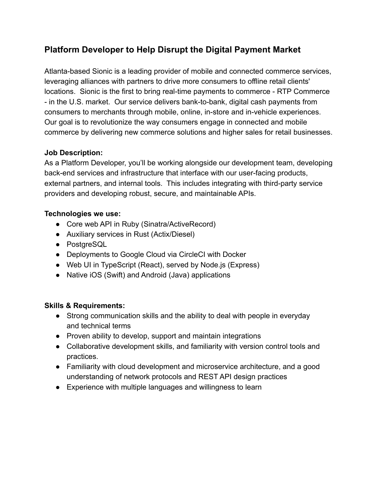# **Platform Developer to Help Disrupt the Digital Payment Market**

Atlanta-based Sionic is a leading provider of mobile and connected commerce services, leveraging alliances with partners to drive more consumers to offline retail clients' locations. Sionic is the first to bring real-time payments to commerce - RTP Commerce - in the U.S. market. Our service delivers bank-to-bank, digital cash payments from consumers to merchants through mobile, online, in-store and in-vehicle experiences. Our goal is to revolutionize the way consumers engage in connected and mobile commerce by delivering new commerce solutions and higher sales for retail businesses.

### **Job Description:**

As a Platform Developer, you'll be working alongside our development team, developing back-end services and infrastructure that interface with our user-facing products, external partners, and internal tools. This includes integrating with third-party service providers and developing robust, secure, and maintainable APIs.

### **Technologies we use:**

- Core web API in Ruby (Sinatra/ActiveRecord)
- Auxiliary services in Rust (Actix/Diesel)
- PostgreSQL
- Deployments to Google Cloud via CircleCI with Docker
- Web UI in TypeScript (React), served by Node.js (Express)
- Native iOS (Swift) and Android (Java) applications

# **Skills & Requirements:**

- Strong communication skills and the ability to deal with people in everyday and technical terms
- Proven ability to develop, support and maintain integrations
- Collaborative development skills, and familiarity with version control tools and practices.
- Familiarity with cloud development and microservice architecture, and a good understanding of network protocols and REST API design practices
- Experience with multiple languages and willingness to learn